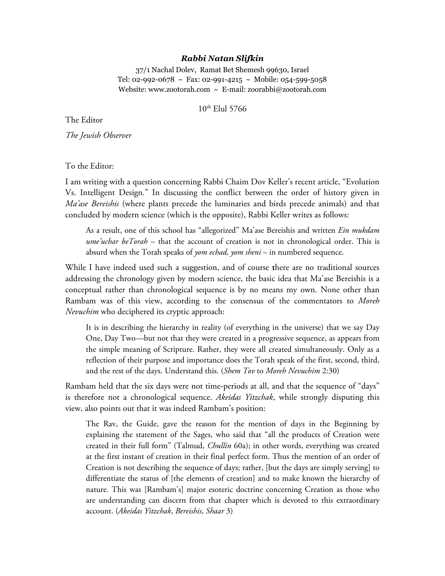## *Rabbi Natan Slifkin*

37/1 Nachal Dolev, Ramat Bet Shemesh 99630, Israel Tel: 02-992-0678 ~ Fax: 02-991-4215 ~ Mobile: 054-599-5058 Website: www.zootorah.com ~ E-mail: zoorabbi@zootorah.com

10th Elul 5766

The Editor

*The Jewish Observer* 

To the Editor:

I am writing with a question concerning Rabbi Chaim Dov Keller's recent article, "Evolution Vs. Intelligent Design." In discussing the conflict between the order of history given in *Ma'ase Bereishis* (where plants precede the luminaries and birds precede animals) and that concluded by modern science (which is the opposite), Rabbi Keller writes as follows:

As a result, one of this school has "allegorized" Ma'ase Bereishis and written *Ein mukdam ume'uchar beTorah* – that the account of creation is not in chronological order. This is absurd when the Torah speaks of *yom echad, yom sheni* – in numbered sequence.

While I have indeed used such a suggestion, and of course **t**here are no traditional sources addressing the chronology given by modern science, the basic idea that Ma'ase Bereishis is a conceptual rather than chronological sequence is by no means my own. None other than Rambam was of this view, according to the consensus of the commentators to *Moreh Nevuchim* who deciphered its cryptic approach:

It is in describing the hierarchy in reality (of everything in the universe) that we say Day One, Day Two—but not that they were created in a progressive sequence, as appears from the simple meaning of Scripture. Rather, they were all created simultaneously. Only as a reflection of their purpose and importance does the Torah speak of the first, second, third, and the rest of the days. Understand this. (*Shem Tov* to *Moreh Nevuchim* 2:30)

Rambam held that the six days were not time-periods at all, and that the sequence of "days" is therefore not a chronological sequence. *Akeidas Yitzchak*, while strongly disputing this view, also points out that it was indeed Rambam's position:

The Rav, the Guide, gave the reason for the mention of days in the Beginning by explaining the statement of the Sages, who said that "all the products of Creation were created in their full form" (Talmud, *Chullin* 60a); in other words, everything was created at the first instant of creation in their final perfect form. Thus the mention of an order of Creation is not describing the sequence of days; rather, [but the days are simply serving] to differentiate the status of [the elements of creation] and to make known the hierarchy of nature. This was [Rambam's] major esoteric doctrine concerning Creation as those who are understanding can discern from that chapter which is devoted to this extraordinary account. (*Akeidas Yitzchak*, *Bereishis*, *Shaar* 3)